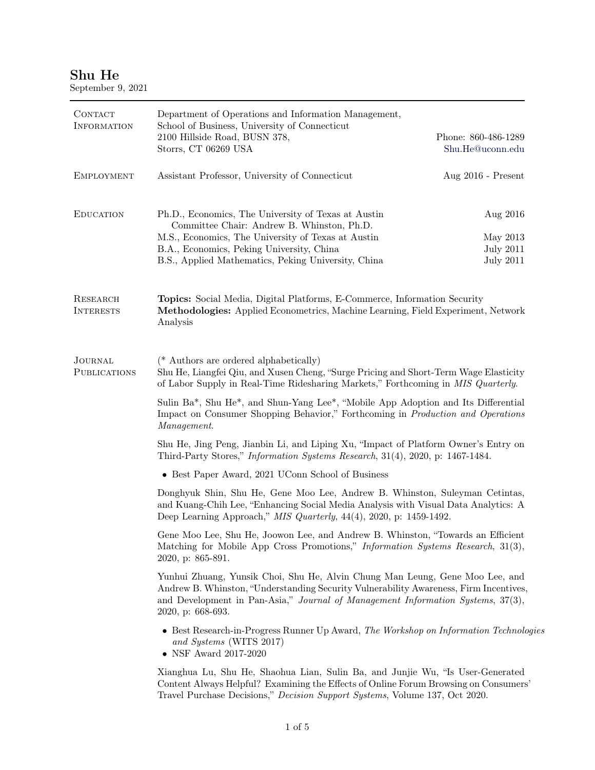## Shu He

| CONTACT<br><b>INFORMATION</b>         | Department of Operations and Information Management,<br>School of Business, University of Connecticut<br>2100 Hillside Road, BUSN 378,                                                                                                                                        | Phone: 860-486-1289 |  |
|---------------------------------------|-------------------------------------------------------------------------------------------------------------------------------------------------------------------------------------------------------------------------------------------------------------------------------|---------------------|--|
|                                       | Storrs, CT 06269 USA                                                                                                                                                                                                                                                          | Shu.He@uconn.edu    |  |
| <b>EMPLOYMENT</b>                     | Assistant Professor, University of Connecticut                                                                                                                                                                                                                                | Aug 2016 - Present  |  |
| <b>EDUCATION</b>                      | Ph.D., Economics, The University of Texas at Austin<br>Committee Chair: Andrew B. Whinston, Ph.D.                                                                                                                                                                             | Aug 2016            |  |
|                                       | M.S., Economics, The University of Texas at Austin                                                                                                                                                                                                                            | May 2013            |  |
|                                       | B.A., Economics, Peking University, China                                                                                                                                                                                                                                     | <b>July 2011</b>    |  |
|                                       | B.S., Applied Mathematics, Peking University, China                                                                                                                                                                                                                           | <b>July 2011</b>    |  |
| <b>RESEARCH</b><br><b>INTERESTS</b>   | <b>Topics:</b> Social Media, Digital Platforms, E-Commerce, Information Security<br>Methodologies: Applied Econometrics, Machine Learning, Field Experiment, Network<br>Analysis                                                                                              |                     |  |
| <b>JOURNAL</b><br><b>PUBLICATIONS</b> | (* Authors are ordered alphabetically)<br>Shu He, Liangfei Qiu, and Xusen Cheng, "Surge Pricing and Short-Term Wage Elasticity<br>of Labor Supply in Real-Time Ridesharing Markets," Forthcoming in MIS Quarterly.                                                            |                     |  |
|                                       | Sulin Ba*, Shu He*, and Shun-Yang Lee*, "Mobile App Adoption and Its Differential<br>Impact on Consumer Shopping Behavior," Forthcoming in Production and Operations<br>Management.                                                                                           |                     |  |
|                                       | Shu He, Jing Peng, Jianbin Li, and Liping Xu, "Impact of Platform Owner's Entry on<br>Third-Party Stores," Information Systems Research, 31(4), 2020, p: 1467-1484.                                                                                                           |                     |  |
|                                       | • Best Paper Award, 2021 UConn School of Business                                                                                                                                                                                                                             |                     |  |
|                                       | Donghyuk Shin, Shu He, Gene Moo Lee, Andrew B. Whinston, Suleyman Cetintas,<br>and Kuang-Chih Lee, "Enhancing Social Media Analysis with Visual Data Analytics: A<br>Deep Learning Approach," $MIS$ Quarterly, 44(4), 2020, p: 1459-1492.                                     |                     |  |
|                                       | Gene Moo Lee, Shu He, Joowon Lee, and Andrew B. Whinston, "Towards an Efficient"<br>Matching for Mobile App Cross Promotions," Information Systems Research, 31(3),<br>2020, p: 865-891.                                                                                      |                     |  |
|                                       | Yunhui Zhuang, Yunsik Choi, Shu He, Alvin Chung Man Leung, Gene Moo Lee, and<br>Andrew B. Whinston, "Understanding Security Vulnerability Awareness, Firm Incentives,<br>and Development in Pan-Asia," Journal of Management Information Systems, 37(3),<br>2020, p: 668-693. |                     |  |
|                                       | • Best Research-in-Progress Runner Up Award, The Workshop on Information Technologies<br>and Systems (WITS 2017)<br>$\bullet$ NSF Award 2017-2020                                                                                                                             |                     |  |
|                                       | Xianghua Lu, Shu He, Shaohua Lian, Sulin Ba, and Junjie Wu, "Is User-Generated"<br>Content Always Helpful? Examining the Effects of Online Forum Browsing on Consumers'<br>Travel Purchase Decisions," Decision Support Systems, Volume 137, Oct 2020.                        |                     |  |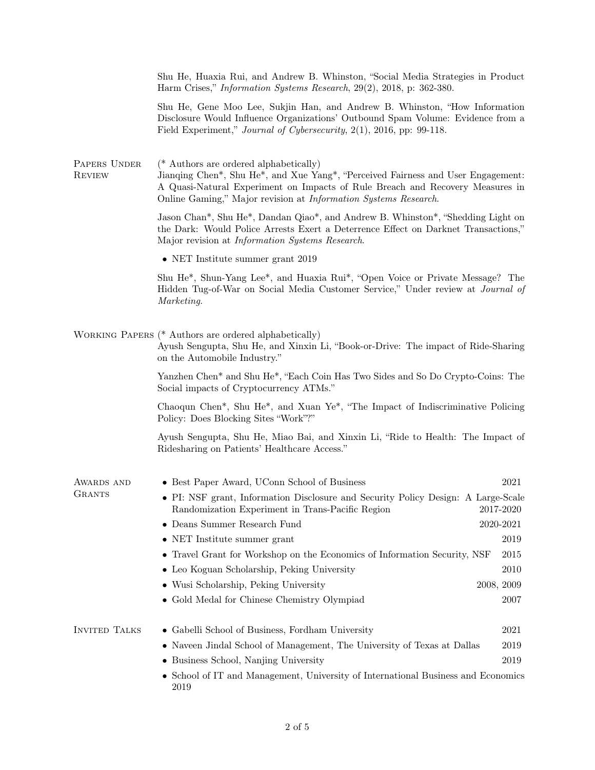|                               | Shu He, Huaxia Rui, and Andrew B. Whinston, "Social Media Strategies in Product<br>Harm Crises," <i>Information Systems Research</i> , 29(2), 2018, p: 362-380.                                                                                                                |               |
|-------------------------------|--------------------------------------------------------------------------------------------------------------------------------------------------------------------------------------------------------------------------------------------------------------------------------|---------------|
|                               | Shu He, Gene Moo Lee, Sukjin Han, and Andrew B. Whinston, "How Information"<br>Disclosure Would Influence Organizations' Outbound Spam Volume: Evidence from a<br>Field Experiment," Journal of Cybersecurity, 2(1), 2016, pp: 99-118.                                         |               |
| PAPERS UNDER<br><b>REVIEW</b> | (* Authors are ordered alphabetically)<br>Jianqing Chen*, Shu He*, and Xue Yang*, "Perceived Fairness and User Engagement:<br>A Quasi-Natural Experiment on Impacts of Rule Breach and Recovery Measures in<br>Online Gaming," Major revision at Information Systems Research. |               |
|                               | Jason Chan*, Shu He*, Dandan Qiao*, and Andrew B. Whinston*, "Shedding Light on<br>the Dark: Would Police Arrests Exert a Deterrence Effect on Darknet Transactions,"<br>Major revision at <i>Information Systems Research</i> .                                               |               |
|                               | • NET Institute summer grant $2019$                                                                                                                                                                                                                                            |               |
|                               | Shu He <sup>*</sup> , Shun-Yang Lee <sup>*</sup> , and Huaxia Rui <sup>*</sup> , "Open Voice or Private Message? The<br>Hidden Tug-of-War on Social Media Customer Service," Under review at <i>Journal of</i><br>Marketing.                                                   |               |
|                               | WORKING PAPERS (* Authors are ordered alphabetically)<br>Ayush Sengupta, Shu He, and Xinxin Li, "Book-or-Drive: The impact of Ride-Sharing<br>on the Automobile Industry."                                                                                                     |               |
|                               | Yanzhen Chen* and Shu He*, "Each Coin Has Two Sides and So Do Crypto-Coins: The<br>Social impacts of Cryptocurrency ATMs."                                                                                                                                                     |               |
|                               | Chaoqun Chen*, Shu He*, and Xuan Ye*, "The Impact of Indiscriminative Policing<br>Policy: Does Blocking Sites "Work"?"                                                                                                                                                         |               |
|                               | Ayush Sengupta, Shu He, Miao Bai, and Xinxin Li, "Ride to Health: The Impact of<br>Ridesharing on Patients' Healthcare Access."                                                                                                                                                |               |
| AWARDS AND                    | • Best Paper Award, UConn School of Business                                                                                                                                                                                                                                   | 2021          |
| <b>GRANTS</b>                 | • PI: NSF grant, Information Disclosure and Security Policy Design: A Large-Scale<br>Randomization Experiment in Trans-Pacific Region                                                                                                                                          | 2017-2020     |
|                               | $\bullet~$ Deans Summer Research Fund                                                                                                                                                                                                                                          | $2020 - 2021$ |
|                               | • NET Institute summer grant                                                                                                                                                                                                                                                   | 2019          |
|                               | • Travel Grant for Workshop on the Economics of Information Security, NSF                                                                                                                                                                                                      | 2015          |
|                               | • Leo Koguan Scholarship, Peking University                                                                                                                                                                                                                                    | 2010          |
|                               | • Wusi Scholarship, Peking University                                                                                                                                                                                                                                          | 2008, 2009    |
|                               | • Gold Medal for Chinese Chemistry Olympiad                                                                                                                                                                                                                                    | 2007          |
| <b>INVITED TALKS</b>          | • Gabelli School of Business, Fordham University                                                                                                                                                                                                                               | 2021          |
|                               | • Naveen Jindal School of Management, The University of Texas at Dallas                                                                                                                                                                                                        | 2019          |
|                               | • Business School, Nanjing University                                                                                                                                                                                                                                          | 2019          |
|                               | • School of IT and Management, University of International Business and Economics<br>2019                                                                                                                                                                                      |               |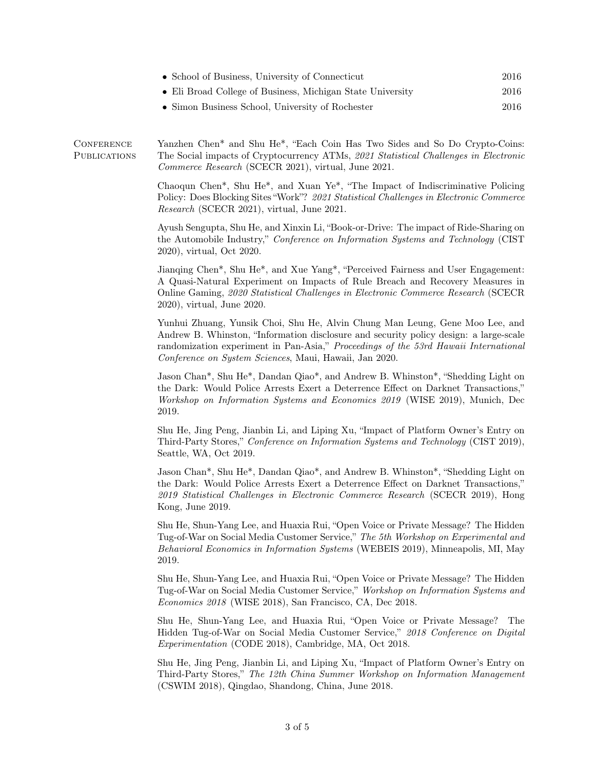| • School of Business, University of Connecticut            | 2016 |
|------------------------------------------------------------|------|
| • Eli Broad College of Business, Michigan State University | 2016 |
| • Simon Business School, University of Rochester           | 2016 |

**CONFERENCE PUBLICATIONS** Yanzhen Chen\* and Shu He\*, "Each Coin Has Two Sides and So Do Crypto-Coins: The Social impacts of Cryptocurrency ATMs, 2021 Statistical Challenges in Electronic Commerce Research (SCECR 2021), virtual, June 2021.

> Chaoqun Chen\*, Shu He\*, and Xuan Ye\*, "The Impact of Indiscriminative Policing Policy: Does Blocking Sites "Work"? 2021 Statistical Challenges in Electronic Commerce Research (SCECR 2021), virtual, June 2021.

> Ayush Sengupta, Shu He, and Xinxin Li, "Book-or-Drive: The impact of Ride-Sharing on the Automobile Industry," Conference on Information Systems and Technology (CIST 2020), virtual, Oct 2020.

> Jianqing Chen\*, Shu He\*, and Xue Yang\*, "Perceived Fairness and User Engagement: A Quasi-Natural Experiment on Impacts of Rule Breach and Recovery Measures in Online Gaming, 2020 Statistical Challenges in Electronic Commerce Research (SCECR 2020), virtual, June 2020.

> Yunhui Zhuang, Yunsik Choi, Shu He, Alvin Chung Man Leung, Gene Moo Lee, and Andrew B. Whinston, "Information disclosure and security policy design: a large-scale randomization experiment in Pan-Asia," Proceedings of the 53rd Hawaii International Conference on System Sciences, Maui, Hawaii, Jan 2020.

> Jason Chan\*, Shu He\*, Dandan Qiao\*, and Andrew B. Whinston\*, "Shedding Light on the Dark: Would Police Arrests Exert a Deterrence Effect on Darknet Transactions," Workshop on Information Systems and Economics 2019 (WISE 2019), Munich, Dec 2019.

> Shu He, Jing Peng, Jianbin Li, and Liping Xu, "Impact of Platform Owner's Entry on Third-Party Stores," Conference on Information Systems and Technology (CIST 2019), Seattle, WA, Oct 2019.

> Jason Chan\*, Shu He\*, Dandan Qiao\*, and Andrew B. Whinston\*, "Shedding Light on the Dark: Would Police Arrests Exert a Deterrence Effect on Darknet Transactions," 2019 Statistical Challenges in Electronic Commerce Research (SCECR 2019), Hong Kong, June 2019.

> Shu He, Shun-Yang Lee, and Huaxia Rui, "Open Voice or Private Message? The Hidden Tug-of-War on Social Media Customer Service," The 5th Workshop on Experimental and Behavioral Economics in Information Systems (WEBEIS 2019), Minneapolis, MI, May 2019.

> Shu He, Shun-Yang Lee, and Huaxia Rui, "Open Voice or Private Message? The Hidden Tug-of-War on Social Media Customer Service," Workshop on Information Systems and Economics 2018 (WISE 2018), San Francisco, CA, Dec 2018.

> Shu He, Shun-Yang Lee, and Huaxia Rui, "Open Voice or Private Message? The Hidden Tug-of-War on Social Media Customer Service," 2018 Conference on Digital Experimentation (CODE 2018), Cambridge, MA, Oct 2018.

> Shu He, Jing Peng, Jianbin Li, and Liping Xu, "Impact of Platform Owner's Entry on Third-Party Stores," The 12th China Summer Workshop on Information Management (CSWIM 2018), Qingdao, Shandong, China, June 2018.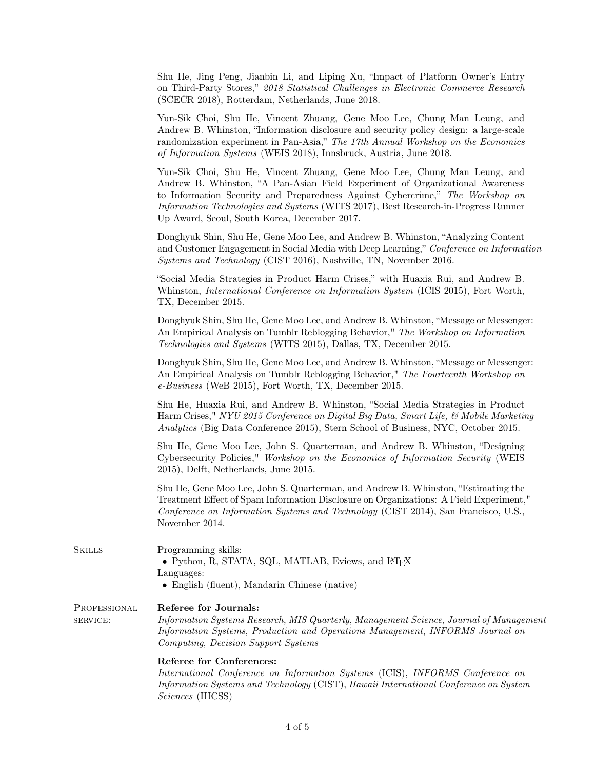|                          | Shu He, Jing Peng, Jianbin Li, and Liping Xu, "Impact of Platform Owner's Entry<br>on Third-Party Stores," 2018 Statistical Challenges in Electronic Commerce Research<br>(SCECR 2018), Rotterdam, Netherlands, June 2018.                                                                                                                                                              |
|--------------------------|-----------------------------------------------------------------------------------------------------------------------------------------------------------------------------------------------------------------------------------------------------------------------------------------------------------------------------------------------------------------------------------------|
|                          | Yun-Sik Choi, Shu He, Vincent Zhuang, Gene Moo Lee, Chung Man Leung, and<br>Andrew B. Whinston, "Information disclosure and security policy design: a large-scale<br>randomization experiment in Pan-Asia," The 17th Annual Workshop on the Economics<br>of Information Systems (WEIS 2018), Innsbruck, Austria, June 2018.                                                             |
|                          | Yun-Sik Choi, Shu He, Vincent Zhuang, Gene Moo Lee, Chung Man Leung, and<br>Andrew B. Whinston, "A Pan-Asian Field Experiment of Organizational Awareness<br>to Information Security and Preparedness Against Cybercrime," The Workshop on<br><i>Information Technologies and Systems</i> (WITS 2017), Best Research-in-Progress Runner<br>Up Award, Seoul, South Korea, December 2017. |
|                          | Donghyuk Shin, Shu He, Gene Moo Lee, and Andrew B. Whinston, "Analyzing Content<br>and Customer Engagement in Social Media with Deep Learning," Conference on Information<br>Systems and Technology (CIST 2016), Nashville, TN, November 2016.                                                                                                                                          |
|                          | "Social Media Strategies in Product Harm Crises," with Huaxia Rui, and Andrew B.<br>Whinston, <i>International Conference on Information System</i> (ICIS 2015), Fort Worth,<br>TX, December 2015.                                                                                                                                                                                      |
|                          | Donghyuk Shin, Shu He, Gene Moo Lee, and Andrew B. Whinston, "Message or Messenger:<br>An Empirical Analysis on Tumblr Reblogging Behavior," The Workshop on Information<br>Technologies and Systems (WITS 2015), Dallas, TX, December 2015.                                                                                                                                            |
|                          | Donghyuk Shin, Shu He, Gene Moo Lee, and Andrew B. Whinston, "Message or Messenger:<br>An Empirical Analysis on Tumblr Reblogging Behavior," The Fourteenth Workshop on<br>e-Business (WeB 2015), Fort Worth, TX, December 2015.                                                                                                                                                        |
|                          | Shu He, Huaxia Rui, and Andrew B. Whinston, "Social Media Strategies in Product<br>Harm Crises," NYU 2015 Conference on Digital Big Data, Smart Life, & Mobile Marketing<br>Analytics (Big Data Conference 2015), Stern School of Business, NYC, October 2015.                                                                                                                          |
|                          | Shu He, Gene Moo Lee, John S. Quarterman, and Andrew B. Whinston, "Designing<br>Cybersecurity Policies," Workshop on the Economics of Information Security (WEIS<br>2015), Delft, Netherlands, June 2015.                                                                                                                                                                               |
|                          | Shu He, Gene Moo Lee, John S. Quarterman, and Andrew B. Whinston, "Estimating the<br>Treatment Effect of Spam Information Disclosure on Organizations: A Field Experiment,"<br>Conference on Information Systems and Technology (CIST 2014), San Francisco, U.S.,<br>November 2014.                                                                                                     |
| <b>SKILLS</b>            | Programming skills:<br>• Python, R, STATA, SQL, MATLAB, Eviews, and IATEX<br>Languages:<br>$\bullet$ English (fluent), Mandarin Chinese (native)                                                                                                                                                                                                                                        |
| PROFESSIONAL<br>SERVICE: | Referee for Journals:<br>Information Systems Research, MIS Quarterly, Management Science, Journal of Management<br>Information Systems, Production and Operations Management, INFORMS Journal on<br>Computing, Decision Support Systems                                                                                                                                                 |
|                          | Referee for Conferences:<br>International Conference on Information Systems (ICIS), INFORMS Conference on<br>Information Systems and Technology (CIST), Hawaii International Conference on System<br>Sciences (HICSS)                                                                                                                                                                   |